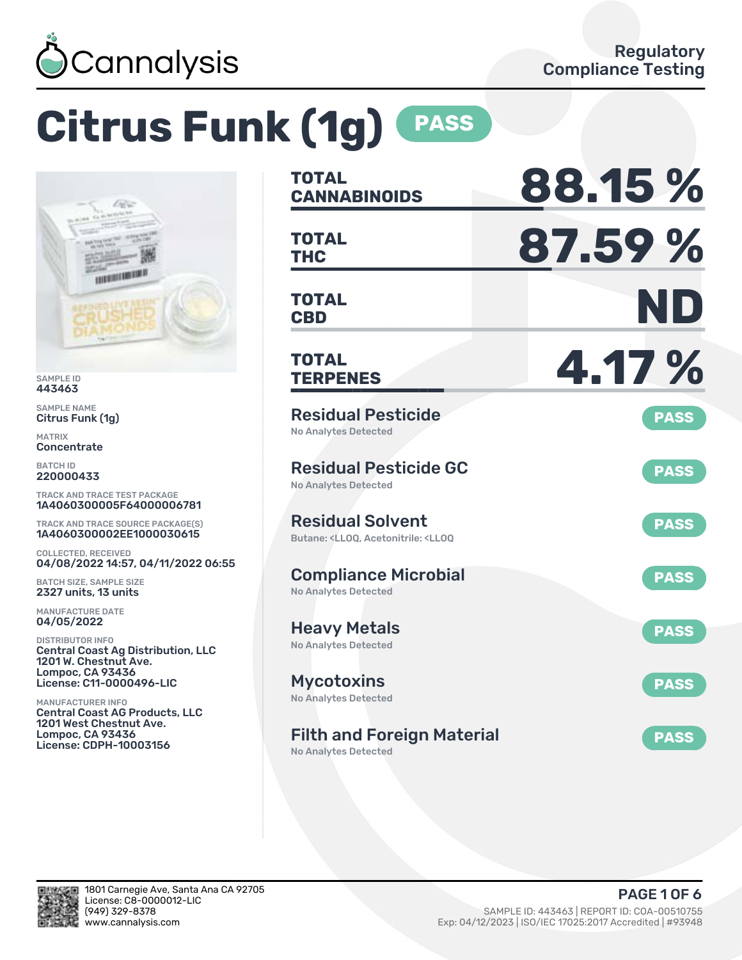

# **Citrus Funk (1g) PASS**



SAMPLE ID 443463

SAMPLE NAME Citrus Funk (1g)

MATRIX Concentrate

BATCH ID 220000433

TRACK AND TRACE TEST PACKAGE 1A406030005F64000006781

TRACK AND TRACE SOURCE PACKAGE(S) 1A406030002EE1000030615

COLLECTED, RECEIVED 04/08/2022 14:57, 04/11/2022 06:55

BATCH SIZE, SAMPLE SIZE 2327 units, 13 units

MANUFACTURE DATE 04/05/2022

DISTRIBUTOR INFO Central Coast Ag Distribution, LLC 1201 W. Chestnut Ave. Lompoc, CA 93436 License: C11-0000496-LIC

MANUFACTURER INFO Central Coast AG Products, LLC 1201 West Chestnut Ave. Lompoc, CA 93436 License: CDPH-10003156

| <b>TOTAL</b><br><b>CANNABINOIDS</b>                                                                     | 88.15%      |
|---------------------------------------------------------------------------------------------------------|-------------|
| <b>TOTAL</b><br><b>THC</b>                                                                              | 87.59%      |
| TOTAL<br><b>CBD</b>                                                                                     | ND          |
| <b>TOTAL</b><br><b>TERPENES</b>                                                                         | 4.17 %      |
| <b>Residual Pesticide</b><br><b>No Analytes Detected</b>                                                | <b>PASS</b> |
| <b>Residual Pesticide GC</b><br><b>No Analytes Detected</b>                                             | <b>PASS</b> |
| <b>Residual Solvent</b><br>Butane: <ll00. <ll00<="" acetonitrile:="" td=""><td><b>PASS</b></td></ll00.> | <b>PASS</b> |
| <b>Compliance Microbial</b><br><b>No Analytes Detected</b>                                              | <b>PASS</b> |
| <b>Heavy Metals</b><br><b>No Analytes Detected</b>                                                      | <b>PASS</b> |
| <b>Mycotoxins</b><br>No Analytes Detected                                                               | <b>PASS</b> |
| <b>Filth and Foreign Material</b>                                                                       | <b>PASS</b> |

No Analytes Detected

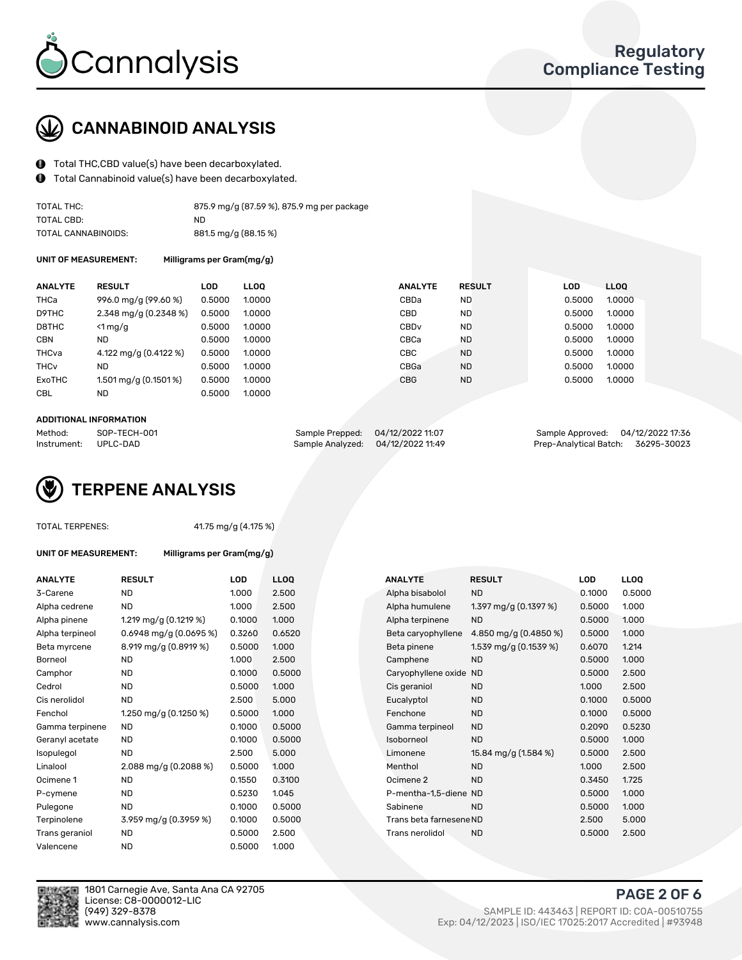

## CANNABINOID ANALYSIS

- Total THC,CBD value(s) have been decarboxylated.
- $\bullet$ Total Cannabinoid value(s) have been decarboxylated.

| TOTAL THC:          | 875.9 mg/g (87.59 %), 875.9 mg per package |
|---------------------|--------------------------------------------|
| TOTAL CBD:          | ND                                         |
| TOTAL CANNABINOIDS: | 881.5 mg/g (88.15 %)                       |

UNIT OF MEASUREMENT: Milligrams per Gram(mg/g)

| <b>ANALYTE</b>         | <b>RESULT</b>           | LOD.   | <b>LLOO</b> | <b>ANALYTE</b>   | <b>RESULT</b> | <b>LOD</b> | LL <sub>00</sub> |  |
|------------------------|-------------------------|--------|-------------|------------------|---------------|------------|------------------|--|
| THCa                   | 996.0 mg/g (99.60 %)    | 0.5000 | 1.0000      | CBDa             | <b>ND</b>     | 0.5000     | 1.0000           |  |
| D9THC                  | 2.348 mg/g $(0.2348\%)$ | 0.5000 | 1.0000      | CBD              | <b>ND</b>     | 0.5000     | 1.0000           |  |
| D8THC                  | $<$ 1 mg/g              | 0.5000 | 1.0000      | CBD <sub>v</sub> | <b>ND</b>     | 0.5000     | 1.0000           |  |
| <b>CBN</b>             | ND.                     | 0.5000 | 1.0000      | CBCa             | <b>ND</b>     | 0.5000     | 1.0000           |  |
| THCva                  | 4.122 mg/g (0.4122 %)   | 0.5000 | 1.0000      | CBC              | <b>ND</b>     | 0.5000     | 1.0000           |  |
| <b>THC<sub>v</sub></b> | ND                      | 0.5000 | 1.0000      | CBGa             | <b>ND</b>     | 0.5000     | 1.0000           |  |
| ExoTHC                 | 1.501 mg/g $(0.1501\%)$ | 0.5000 | 1.0000      | <b>CBG</b>       | <b>ND</b>     | 0.5000     | 1.0000           |  |
| <b>CBL</b>             | ND                      | 0.5000 | 1.0000      |                  |               |            |                  |  |
|                        |                         |        |             |                  |               |            |                  |  |

#### ADDITIONAL INFORMATION

| Method:              | SOP-TECH-001 | Sample Prepped: 04/12/2022 11:07  | Sample Approved: 04/12/2022 17:36  |  |
|----------------------|--------------|-----------------------------------|------------------------------------|--|
| Instrument: UPLC-DAD |              | Sample Analyzed: 04/12/2022 11:49 | Prep-Analytical Batch: 36295-30023 |  |

## TERPENE ANALYSIS

| <b>TOTAL TERPENES:</b> |
|------------------------|
|------------------------|

41.75 mg/g (4.175 %)

UNIT OF MEASUREMENT: Milligrams per Gram(mg/g)

| <b>ANALYTE</b>  | <b>RESULT</b>            | LOD    | <b>LLOO</b> |  | <b>ANALYTE</b>          | <b>RESULT</b>           | <b>LOD</b> | <b>LLOQ</b> |
|-----------------|--------------------------|--------|-------------|--|-------------------------|-------------------------|------------|-------------|
| 3-Carene        | <b>ND</b>                | 1.000  | 2.500       |  | Alpha bisabolol         | <b>ND</b>               | 0.1000     | 0.500       |
| Alpha cedrene   | <b>ND</b>                | 1.000  | 2.500       |  | Alpha humulene          | 1.397 mg/g $(0.1397%)$  | 0.5000     | 1.000       |
| Alpha pinene    | 1.219 mg/g $(0.1219 \%)$ | 0.1000 | 1.000       |  | Alpha terpinene         | <b>ND</b>               | 0.5000     | 1.000       |
| Alpha terpineol | 0.6948 mg/g $(0.0695\%)$ | 0.3260 | 0.6520      |  | Beta caryophyllene      | 4.850 mg/g (0.4850 %)   | 0.5000     | 1.000       |
| Beta myrcene    | 8.919 mg/g (0.8919 %)    | 0.5000 | 1.000       |  | Beta pinene             | 1.539 mg/g $(0.1539\%)$ | 0.6070     | 1.214       |
| Borneol         | <b>ND</b>                | 1.000  | 2.500       |  | Camphene                | <b>ND</b>               | 0.5000     | 1.000       |
| Camphor         | ND.                      | 0.1000 | 0.5000      |  | Caryophyllene oxide ND  |                         | 0.5000     | 2.500       |
| Cedrol          | <b>ND</b>                | 0.5000 | 1.000       |  | Cis geraniol            | <b>ND</b>               | 1.000      | 2.500       |
| Cis nerolidol   | <b>ND</b>                | 2.500  | 5.000       |  | Eucalyptol              | <b>ND</b>               | 0.1000     | 0.500       |
| Fenchol         | 1.250 mg/g (0.1250 %)    | 0.5000 | 1.000       |  | Fenchone                | <b>ND</b>               | 0.1000     | 0.500       |
| Gamma terpinene | ND.                      | 0.1000 | 0.5000      |  | Gamma terpineol         | <b>ND</b>               | 0.2090     | 0.523       |
| Geranyl acetate | <b>ND</b>                | 0.1000 | 0.5000      |  | Isoborneol              | <b>ND</b>               | 0.5000     | 1.000       |
| Isopulegol      | <b>ND</b>                | 2.500  | 5.000       |  | Limonene                | 15.84 mg/g (1.584 %)    | 0.5000     | 2.500       |
| Linalool        | 2.088 mg/g (0.2088 %)    | 0.5000 | 1.000       |  | Menthol                 | <b>ND</b>               | 1.000      | 2.500       |
| Ocimene 1       | <b>ND</b>                | 0.1550 | 0.3100      |  | Ocimene 2               | <b>ND</b>               | 0.3450     | 1.725       |
| P-cymene        | <b>ND</b>                | 0.5230 | 1.045       |  | P-mentha-1,5-diene ND   |                         | 0.5000     | 1.000       |
| Pulegone        | <b>ND</b>                | 0.1000 | 0.5000      |  | Sabinene                | <b>ND</b>               | 0.5000     | 1.000       |
| Terpinolene     | 3.959 mg/g (0.3959 %)    | 0.1000 | 0.5000      |  | Trans beta farnesene ND |                         | 2.500      | 5.000       |
| Trans geraniol  | <b>ND</b>                | 0.5000 | 2.500       |  | Trans nerolidol         | <b>ND</b>               | 0.5000     | 2.500       |
| Valencene       | <b>ND</b>                | 0.5000 | 1.000       |  |                         |                         |            |             |

| <b>ANALY I E</b> | <b>KESULI</b>             | LUD    | <b>LLUU</b> |  | <b>ANALYIE</b>          | <b>KESULI</b>          | LUD    | LLUU   |
|------------------|---------------------------|--------|-------------|--|-------------------------|------------------------|--------|--------|
| 3-Carene         | ND.                       | 1.000  | 2.500       |  | Alpha bisabolol         | <b>ND</b>              | 0.1000 | 0.5000 |
| Alpha cedrene    | ND.                       | 1.000  | 2.500       |  | Alpha humulene          | 1.397 mg/g $(0.1397%)$ | 0.5000 | 1.000  |
| Alpha pinene     | 1.219 mg/g $(0.1219%)$    | 0.1000 | 1.000       |  | Alpha terpinene         | <b>ND</b>              | 0.5000 | 1.000  |
| Alpha terpineol  | $0.6948$ mg/g $(0.0695%)$ | 0.3260 | 0.6520      |  | Beta caryophyllene      | 4.850 mg/g (0.4850 %)  | 0.5000 | 1.000  |
| Beta myrcene     | 8.919 mg/g (0.8919 %)     | 0.5000 | 1.000       |  | Beta pinene             | 1.539 mg/g (0.1539 %)  | 0.6070 | 1.214  |
| Borneol          | <b>ND</b>                 | 1.000  | 2.500       |  | Camphene                | <b>ND</b>              | 0.5000 | 1.000  |
| Camphor          | <b>ND</b>                 | 0.1000 | 0.5000      |  | Caryophyllene oxide     | <b>ND</b>              | 0.5000 | 2.500  |
| Cedrol           | <b>ND</b>                 | 0.5000 | 1.000       |  | Cis geraniol            | <b>ND</b>              | 1.000  | 2.500  |
| Cis nerolidol    | <b>ND</b>                 | 2.500  | 5.000       |  | Eucalyptol              | <b>ND</b>              | 0.1000 | 0.5000 |
| Fenchol          | 1.250 mg/g $(0.1250\%)$   | 0.5000 | 1.000       |  | Fenchone                | <b>ND</b>              | 0.1000 | 0.5000 |
| Gamma terpinene  | <b>ND</b>                 | 0.1000 | 0.5000      |  | Gamma terpineol         | <b>ND</b>              | 0.2090 | 0.5230 |
| Geranyl acetate  | ND.                       | 0.1000 | 0.5000      |  | Isoborneol              | <b>ND</b>              | 0.5000 | 1.000  |
| Isopulegol       | <b>ND</b>                 | 2.500  | 5.000       |  | Limonene                | 15.84 mg/g (1.584 %)   | 0.5000 | 2.500  |
| Linalool         | 2.088 mg/g (0.2088 %)     | 0.5000 | 1.000       |  | Menthol                 | <b>ND</b>              | 1.000  | 2.500  |
| Ocimene 1        | <b>ND</b>                 | 0.1550 | 0.3100      |  | Ocimene 2               | <b>ND</b>              | 0.3450 | 1.725  |
| P-cymene         | ND.                       | 0.5230 | 1.045       |  | P-mentha-1,5-diene ND   |                        | 0.5000 | 1.000  |
| Pulegone         | <b>ND</b>                 | 0.1000 | 0.5000      |  | Sabinene                | <b>ND</b>              | 0.5000 | 1.000  |
| Terpinolene      | 3.959 mg/g (0.3959 %)     | 0.1000 | 0.5000      |  | Trans beta farnesene ND |                        | 2.500  | 5.000  |
| Trans geraniol   | <b>ND</b>                 | 0.5000 | 2.500       |  | Trans nerolidol         | <b>ND</b>              | 0.5000 | 2.500  |
|                  |                           |        |             |  |                         |                        |        |        |



1801 Carnegie Ave, Santa Ana CA 92705 License: C8-0000012-LIC<br>(949) 329-8378 www.cannalysis.com Exp: 04/12/2023 | ISO/IEC 17025:2017 Accredited | #93948